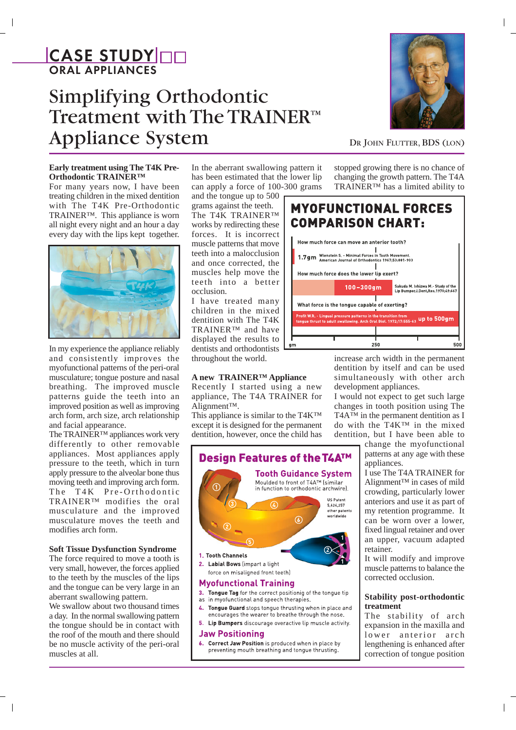# CASE STUDY OD ORAL APPLIANCES

# Simplifying Orthodontic Treatment with The TRAINER™ Appliance System DR JOHN FLUTTER, BDS (LON)



# **Early treatment using The T4K Pre-Orthodontic TRAINER™**

For many years now, I have been treating children in the mixed dentition with The T4K Pre-Orthodontic TRAINER™. This appliance is worn all night every night and an hour a day every day with the lips kept together.



In my experience the appliance reliably and consistently improves the myofunctional patterns of the peri-oral musculature; tongue posture and nasal breathing. The improved muscle patterns guide the teeth into an improved position as well as improving arch form, arch size, arch relationship and facial appearance.

The TRAINER™ appliances work very differently to other removable appliances. Most appliances apply pressure to the teeth, which in turn apply pressure to the alveolar bone thus moving teeth and improving arch form. The T4K Pre-Orthodontic TRAINER™ modifies the oral musculature and the improved musculature moves the teeth and modifies arch form.

# **Soft Tissue Dysfunction Syndrome**

The force required to move a tooth is very small, however, the forces applied to the teeth by the muscles of the lips and the tongue can be very large in an aberrant swallowing pattern.

We swallow about two thousand times a day. In the normal swallowing pattern the tongue should be in contact with the roof of the mouth and there should be no muscle activity of the peri-oral muscles at all.

In the aberrant swallowing pattern it has been estimated that the lower lip can apply a force of 100-300 grams

and the tongue up to 500 grams against the teeth. The T4K TRAINER™ works by redirecting these forces. It is incorrect muscle patterns that move teeth into a malocclusion and once corrected, the muscles help move the teeth into a better occlusion.

I have treated many children in the mixed dentition with The T4K TRAINER™ and have displayed the results to dentists and orthodontists throughout the world.

# **A new TRAINER™ Appliance**

Recently I started using a new appliance, The T4A TRAINER for Alignment™.

This appliance is similar to the T4K™ except it is designed for the permanent dentition, however, once the child has



## **Myofunctional Training**

- 3. Tongue Tag for the correct positionig of the tongue tip as in myofunctional and speech therapies.
- Tongue Guard stops tongue thrusting when in place and encourages the wearer to breathe through the nose.
- 5. Lip Bumpers discourage overactive lip muscle activity.

# **Jaw Positioning**

6. Correct Jaw Position is produced when in place by preventing mouth breathing and tongue thrusting.

stopped growing there is no chance of changing the growth pattern. The T4A TRAINER™ has a limited ability to



increase arch width in the permanent dentition by itself and can be used simultaneously with other arch development appliances.

I would not expect to get such large changes in tooth position using The T4A™ in the permanent dentition as I do with the T4K™ in the mixed dentition, but I have been able to

change the myofunctional patterns at any age with these appliances.

I use The T4A TRAINER for Alignment™ in cases of mild crowding, particularly lower anteriors and use it as part of my retention programme. It can be worn over a lower, fixed lingual retainer and over an upper, vacuum adapted retainer.

It will modify and improve muscle patterns to balance the corrected occlusion.

## **Stability post-orthodontic treatment**

The stability of arch expansion in the maxilla and lower anterior arch lengthening is enhanced after correction of tongue position